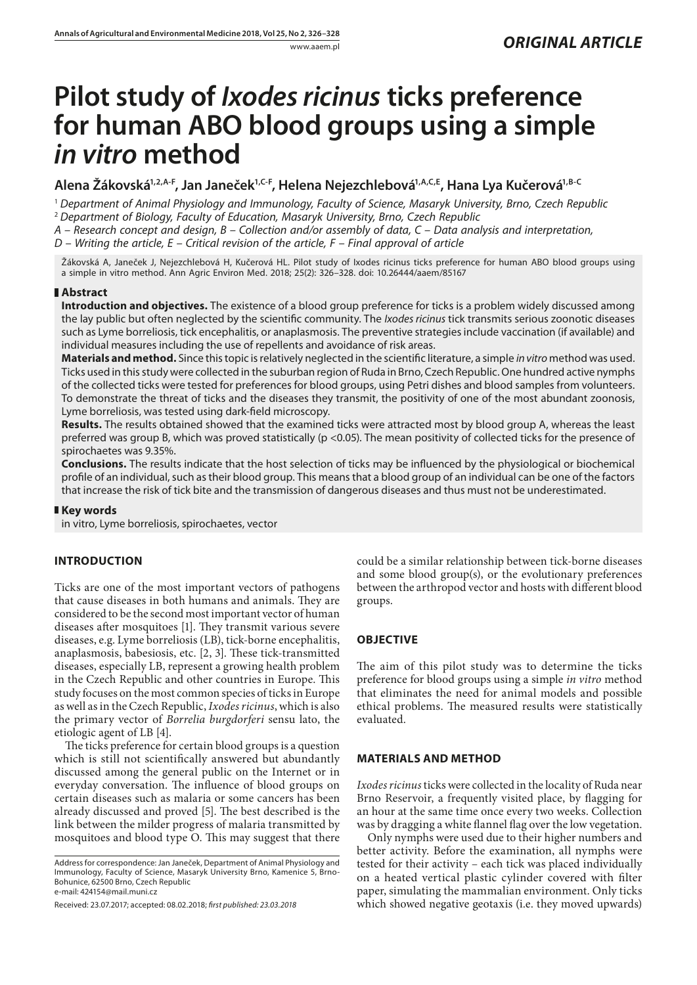# **Pilot study of** *Ixodes ricinus* **ticks preference for human ABO blood groups using a simple**  *in vitro* **method**

# **Alena Žákovská1,2,A-F, Jan Janeček1,C-F, Helena Nejezchlebová1,A,C,E, Hana Lya Kučerová1,B-C**

<sup>1</sup> *Department of Animal Physiology and Immunology, Faculty of Science, Masaryk University, Brno, Czech Republic* <sup>2</sup> *Department of Biology, Faculty of Education, Masaryk University, Brno, Czech Republic*

*A – Research concept and design, B – Collection and/or assembly of data, C – Data analysis and interpretation,* 

*D – Writing the article, E – Critical revision of the article, F – Final approval of article*

Žákovská A, Janeček J, Nejezchlebová H, Kučerová HL. Pilot study of Ixodes ricinus ticks preference for human ABO blood groups using a simple in vitro method. Ann Agric Environ Med. 2018; 25(2): 326–328. doi: 10.26444/aaem/85167

#### **Abstract**

**Introduction and objectives.** The existence of a blood group preference for ticks is a problem widely discussed among the lay public but often neglected by the scientific community. The *Ixodes ricinus* tick transmits serious zoonotic diseases such as Lyme borreliosis, tick encephalitis, or anaplasmosis. The preventive strategies include vaccination (if available) and individual measures including the use of repellents and avoidance of risk areas.

**Materials and method.** Since this topic is relatively neglected in the scientific literature, a simple *in vitro* method was used. Ticks used in this study were collected in the suburban region of Ruda in Brno, Czech Republic. One hundred active nymphs of the collected ticks were tested for preferences for blood groups, using Petri dishes and blood samples from volunteers. To demonstrate the threat of ticks and the diseases they transmit, the positivity of one of the most abundant zoonosis, Lyme borreliosis, was tested using dark-field microscopy.

**Results.** The results obtained showed that the examined ticks were attracted most by blood group A, whereas the least preferred was group B, which was proved statistically (p <0.05). The mean positivity of collected ticks for the presence of spirochaetes was 9.35%.

**Conclusions.** The results indicate that the host selection of ticks may be influenced by the physiological or biochemical profile of an individual, such as their blood group. This means that a blood group of an individual can be one of the factors that increase the risk of tick bite and the transmission of dangerous diseases and thus must not be underestimated.

#### **Key words**

in vitro, Lyme borreliosis, spirochaetes, vector

## **INTRODUCTION**

Ticks are one of the most important vectors of pathogens that cause diseases in both humans and animals. They are considered to be the second most important vector of human diseases after mosquitoes [1]. They transmit various severe diseases, e.g. Lyme borreliosis (LB), tick-borne encephalitis, anaplasmosis, babesiosis, etc. [2, 3]. These tick-transmitted diseases, especially LB, represent a growing health problem in the Czech Republic and other countries in Europe. This study focuses on the most common species of ticks in Europe as well as in the Czech Republic, *Ixodes ricinus*, which is also the primary vector of *Borrelia burgdorferi* sensu lato, the etiologic agent of LB [4].

The ticks preference for certain blood groups is a question which is still not scientifically answered but abundantly discussed among the general public on the Internet or in everyday conversation. The influence of blood groups on certain diseases such as malaria or some cancers has been already discussed and proved [5]. The best described is the link between the milder progress of malaria transmitted by mosquitoes and blood type O. This may suggest that there

could be a similar relationship between tick-borne diseases and some blood group(s), or the evolutionary preferences between the arthropod vector and hosts with different blood groups.

### **OBJECTIVE**

The aim of this pilot study was to determine the ticks preference for blood groups using a simple *in vitro* method that eliminates the need for animal models and possible ethical problems. The measured results were statistically evaluated.

#### **MATERIALS AND METHOD**

*Ixodes ricinus* ticks were collected in the locality of Ruda near Brno Reservoir, a frequently visited place, by flagging for an hour at the same time once every two weeks. Collection was by dragging a white flannel flag over the low vegetation.

Only nymphs were used due to their higher numbers and better activity. Before the examination, all nymphs were tested for their activity – each tick was placed individually on a heated vertical plastic cylinder covered with filter paper, simulating the mammalian environment. Only ticks which showed negative geotaxis (i.e. they moved upwards)

Address for correspondence: Jan Janeček, Department of Animal Physiology and Immunology, Faculty of Science, Masaryk University Brno, Kamenice 5, Brno-Bohunice, 62500 Brno, Czech Republic e-mail: 424154@mail.muni.cz

Received: 23.07.2017; accepted: 08.02.2018; *first published: 23.03.2018*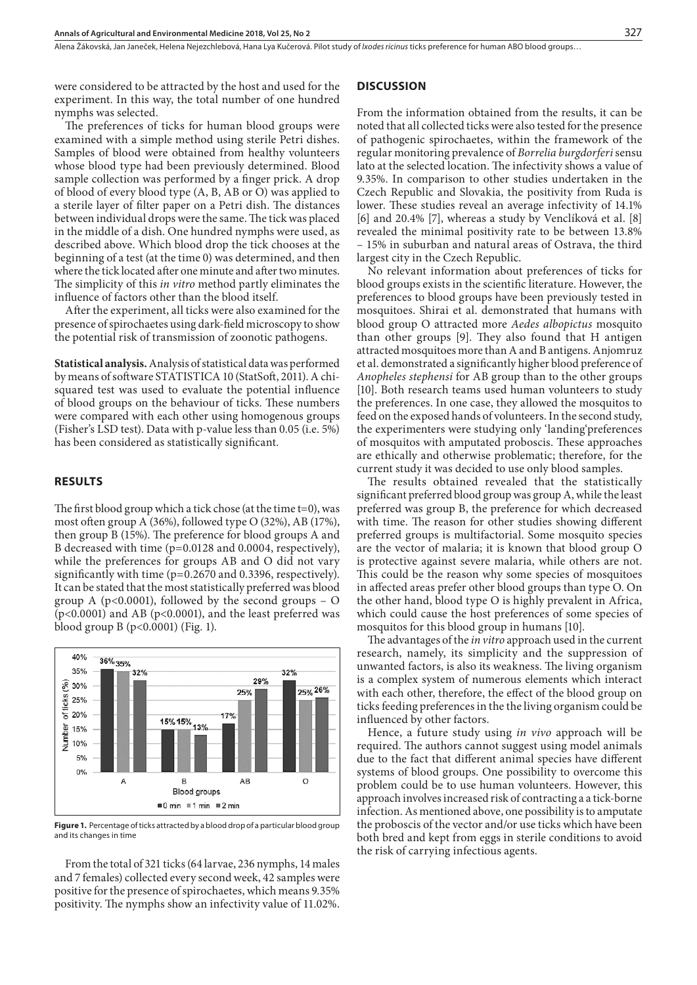Alena Žákovská, Jan Janeček, Helena Nejezchlebová, Hana Lya Kučerová . Pilot study of *Ixodes ricinus* ticks preference for human ABO blood groups…

were considered to be attracted by the host and used for the experiment. In this way, the total number of one hundred nymphs was selected.

The preferences of ticks for human blood groups were examined with a simple method using sterile Petri dishes. Samples of blood were obtained from healthy volunteers whose blood type had been previously determined. Blood sample collection was performed by a finger prick. A drop of blood of every blood type (A, B, AB or O) was applied to a sterile layer of filter paper on a Petri dish. The distances between individual drops were the same. The tick was placed in the middle of a dish. One hundred nymphs were used, as described above. Which blood drop the tick chooses at the beginning of a test (at the time 0) was determined, and then where the tick located after one minute and after two minutes. The simplicity of this *in vitro* method partly eliminates the influence of factors other than the blood itself.

After the experiment, all ticks were also examined for the presence of spirochaetes using dark-field microscopy to show the potential risk of transmission of zoonotic pathogens.

**Statistical analysis.** Analysis of statistical data was performed by means of software STATISTICA 10 (StatSoft, 2011). A chisquared test was used to evaluate the potential influence of blood groups on the behaviour of ticks. These numbers were compared with each other using homogenous groups (Fisher's LSD test). Data with p-value less than 0.05 (i.e. 5%) has been considered as statistically significant.

#### **RESULTS**

The first blood group which a tick chose (at the time  $t=0$ ), was most often group A (36%), followed type O (32%), AB (17%), then group B (15%). The preference for blood groups A and B decreased with time (p=0.0128 and 0.0004, respectively), while the preferences for groups AB and O did not vary significantly with time (p=0.2670 and 0.3396, respectively). It can be stated that the most statistically preferred was blood group A ( $p<0.0001$ ), followed by the second groups – O (p<0.0001) and AB (p<0.0001), and the least preferred was blood group B (p<0.0001) (Fig. 1).



**Figure 1.** Percentage of ticks attracted by a blood drop of a particular blood group and its changes in time

From the total of 321 ticks (64 larvae, 236 nymphs, 14 males and 7 females) collected every second week, 42 samples were positive for the presence of spirochaetes, which means 9.35% positivity. The nymphs show an infectivity value of 11.02%.

#### **DISCUSSION**

From the information obtained from the results, it can be noted that all collected ticks were also tested for the presence of pathogenic spirochaetes, within the framework of the regular monitoring prevalence of *Borrelia burgdorferi* sensu lato at the selected location. The infectivity shows a value of 9.35%. In comparison to other studies undertaken in the Czech Republic and Slovakia, the positivity from Ruda is lower. These studies reveal an average infectivity of 14.1% [6] and 20.4% [7], whereas a study by Venclíková et al. [8] revealed the minimal positivity rate to be between 13.8% – 15% in suburban and natural areas of Ostrava, the third largest city in the Czech Republic.

No relevant information about preferences of ticks for blood groups exists in the scientific literature. However, the preferences to blood groups have been previously tested in mosquitoes. Shirai et al. demonstrated that humans with blood group O attracted more *Aedes albopictus* mosquito than other groups [9]. They also found that H antigen attracted mosquitoes more than A and B antigens. Anjomruz et al. demonstrated a significantly higher blood preference of *Anopheles stephensi* for AB group than to the other groups [10]. Both research teams used human volunteers to study the preferences. In one case, they allowed the mosquitos to feed on the exposed hands of volunteers. In the second study, the experimenters were studying only 'landing'preferences of mosquitos with amputated proboscis. These approaches are ethically and otherwise problematic; therefore, for the current study it was decided to use only blood samples.

The results obtained revealed that the statistically significant preferred blood group was group A, while the least preferred was group B, the preference for which decreased with time. The reason for other studies showing different preferred groups is multifactorial. Some mosquito species are the vector of malaria; it is known that blood group O is protective against severe malaria, while others are not. This could be the reason why some species of mosquitoes in affected areas prefer other blood groups than type O. On the other hand, blood type O is highly prevalent in Africa, which could cause the host preferences of some species of mosquitos for this blood group in humans [10].

The advantages of the *in vitro* approach used in the current research, namely, its simplicity and the suppression of unwanted factors, is also its weakness. The living organism is a complex system of numerous elements which interact with each other, therefore, the effect of the blood group on ticks feeding preferences in the the living organism could be influenced by other factors.

Hence, a future study using *in vivo* approach will be required. The authors cannot suggest using model animals due to the fact that different animal species have different systems of blood groups. One possibility to overcome this problem could be to use human volunteers. However, this approach involves increased risk of contracting a a tick-borne infection. As mentioned above, one possibility is to amputate the proboscis of the vector and/or use ticks which have been both bred and kept from eggs in sterile conditions to avoid the risk of carrying infectious agents.